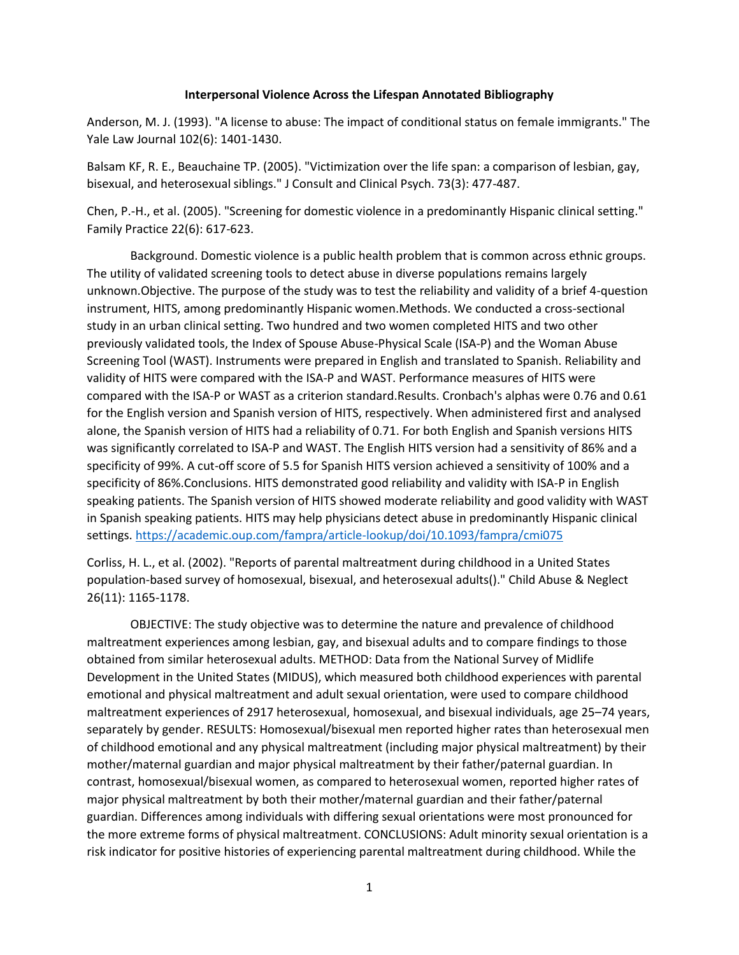## **Interpersonal Violence Across the Lifespan Annotated Bibliography**

Anderson, M. J. (1993). "A license to abuse: The impact of conditional status on female immigrants." The Yale Law Journal 102(6): 1401-1430.

Balsam KF, R. E., Beauchaine TP. (2005). "Victimization over the life span: a comparison of lesbian, gay, bisexual, and heterosexual siblings." J Consult and Clinical Psych. 73(3): 477-487.

Chen, P.-H., et al. (2005). "Screening for domestic violence in a predominantly Hispanic clinical setting." Family Practice 22(6): 617-623.

Background. Domestic violence is a public health problem that is common across ethnic groups. The utility of validated screening tools to detect abuse in diverse populations remains largely unknown.Objective. The purpose of the study was to test the reliability and validity of a brief 4-question instrument, HITS, among predominantly Hispanic women.Methods. We conducted a cross-sectional study in an urban clinical setting. Two hundred and two women completed HITS and two other previously validated tools, the Index of Spouse Abuse-Physical Scale (ISA-P) and the Woman Abuse Screening Tool (WAST). Instruments were prepared in English and translated to Spanish. Reliability and validity of HITS were compared with the ISA-P and WAST. Performance measures of HITS were compared with the ISA-P or WAST as a criterion standard.Results. Cronbach's alphas were 0.76 and 0.61 for the English version and Spanish version of HITS, respectively. When administered first and analysed alone, the Spanish version of HITS had a reliability of 0.71. For both English and Spanish versions HITS was significantly correlated to ISA-P and WAST. The English HITS version had a sensitivity of 86% and a specificity of 99%. A cut-off score of 5.5 for Spanish HITS version achieved a sensitivity of 100% and a specificity of 86%.Conclusions. HITS demonstrated good reliability and validity with ISA-P in English speaking patients. The Spanish version of HITS showed moderate reliability and good validity with WAST in Spanish speaking patients. HITS may help physicians detect abuse in predominantly Hispanic clinical settings.<https://academic.oup.com/fampra/article-lookup/doi/10.1093/fampra/cmi075>

Corliss, H. L., et al. (2002). "Reports of parental maltreatment during childhood in a United States population-based survey of homosexual, bisexual, and heterosexual adults()." Child Abuse & Neglect 26(11): 1165-1178.

OBJECTIVE: The study objective was to determine the nature and prevalence of childhood maltreatment experiences among lesbian, gay, and bisexual adults and to compare findings to those obtained from similar heterosexual adults. METHOD: Data from the National Survey of Midlife Development in the United States (MIDUS), which measured both childhood experiences with parental emotional and physical maltreatment and adult sexual orientation, were used to compare childhood maltreatment experiences of 2917 heterosexual, homosexual, and bisexual individuals, age 25–74 years, separately by gender. RESULTS: Homosexual/bisexual men reported higher rates than heterosexual men of childhood emotional and any physical maltreatment (including major physical maltreatment) by their mother/maternal guardian and major physical maltreatment by their father/paternal guardian. In contrast, homosexual/bisexual women, as compared to heterosexual women, reported higher rates of major physical maltreatment by both their mother/maternal guardian and their father/paternal guardian. Differences among individuals with differing sexual orientations were most pronounced for the more extreme forms of physical maltreatment. CONCLUSIONS: Adult minority sexual orientation is a risk indicator for positive histories of experiencing parental maltreatment during childhood. While the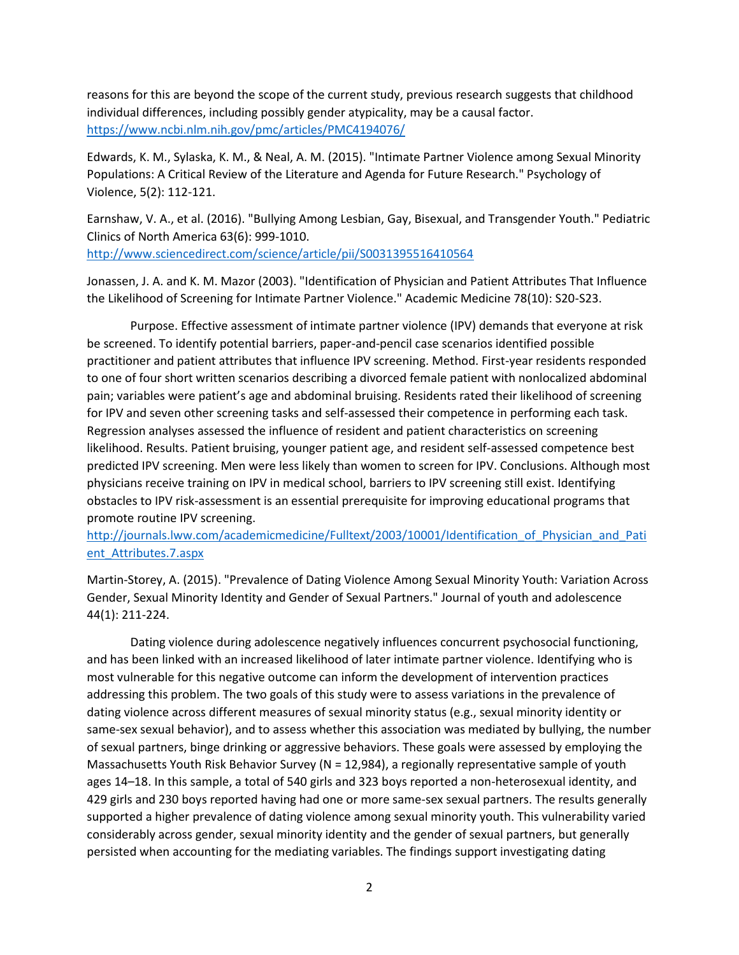reasons for this are beyond the scope of the current study, previous research suggests that childhood individual differences, including possibly gender atypicality, may be a causal factor. <https://www.ncbi.nlm.nih.gov/pmc/articles/PMC4194076/>

Edwards, K. M., Sylaska, K. M., & Neal, A. M. (2015). "Intimate Partner Violence among Sexual Minority Populations: A Critical Review of the Literature and Agenda for Future Research." Psychology of Violence, 5(2): 112-121.

Earnshaw, V. A., et al. (2016). "Bullying Among Lesbian, Gay, Bisexual, and Transgender Youth." Pediatric Clinics of North America 63(6): 999-1010.

<http://www.sciencedirect.com/science/article/pii/S0031395516410564>

Jonassen, J. A. and K. M. Mazor (2003). "Identification of Physician and Patient Attributes That Influence the Likelihood of Screening for Intimate Partner Violence." Academic Medicine 78(10): S20-S23.

Purpose. Effective assessment of intimate partner violence (IPV) demands that everyone at risk be screened. To identify potential barriers, paper-and-pencil case scenarios identified possible practitioner and patient attributes that influence IPV screening. Method. First-year residents responded to one of four short written scenarios describing a divorced female patient with nonlocalized abdominal pain; variables were patient's age and abdominal bruising. Residents rated their likelihood of screening for IPV and seven other screening tasks and self-assessed their competence in performing each task. Regression analyses assessed the influence of resident and patient characteristics on screening likelihood. Results. Patient bruising, younger patient age, and resident self-assessed competence best predicted IPV screening. Men were less likely than women to screen for IPV. Conclusions. Although most physicians receive training on IPV in medical school, barriers to IPV screening still exist. Identifying obstacles to IPV risk-assessment is an essential prerequisite for improving educational programs that promote routine IPV screening.

http://journals.lww.com/academicmedicine/Fulltext/2003/10001/Identification of Physician and Pati [ent\\_Attributes.7.aspx](http://journals.lww.com/academicmedicine/Fulltext/2003/10001/Identification_of_Physician_and_Patient_Attributes.7.aspx)

Martin-Storey, A. (2015). "Prevalence of Dating Violence Among Sexual Minority Youth: Variation Across Gender, Sexual Minority Identity and Gender of Sexual Partners." Journal of youth and adolescence 44(1): 211-224.

Dating violence during adolescence negatively influences concurrent psychosocial functioning, and has been linked with an increased likelihood of later intimate partner violence. Identifying who is most vulnerable for this negative outcome can inform the development of intervention practices addressing this problem. The two goals of this study were to assess variations in the prevalence of dating violence across different measures of sexual minority status (e.g., sexual minority identity or same-sex sexual behavior), and to assess whether this association was mediated by bullying, the number of sexual partners, binge drinking or aggressive behaviors. These goals were assessed by employing the Massachusetts Youth Risk Behavior Survey (N = 12,984), a regionally representative sample of youth ages 14–18. In this sample, a total of 540 girls and 323 boys reported a non-heterosexual identity, and 429 girls and 230 boys reported having had one or more same-sex sexual partners. The results generally supported a higher prevalence of dating violence among sexual minority youth. This vulnerability varied considerably across gender, sexual minority identity and the gender of sexual partners, but generally persisted when accounting for the mediating variables. The findings support investigating dating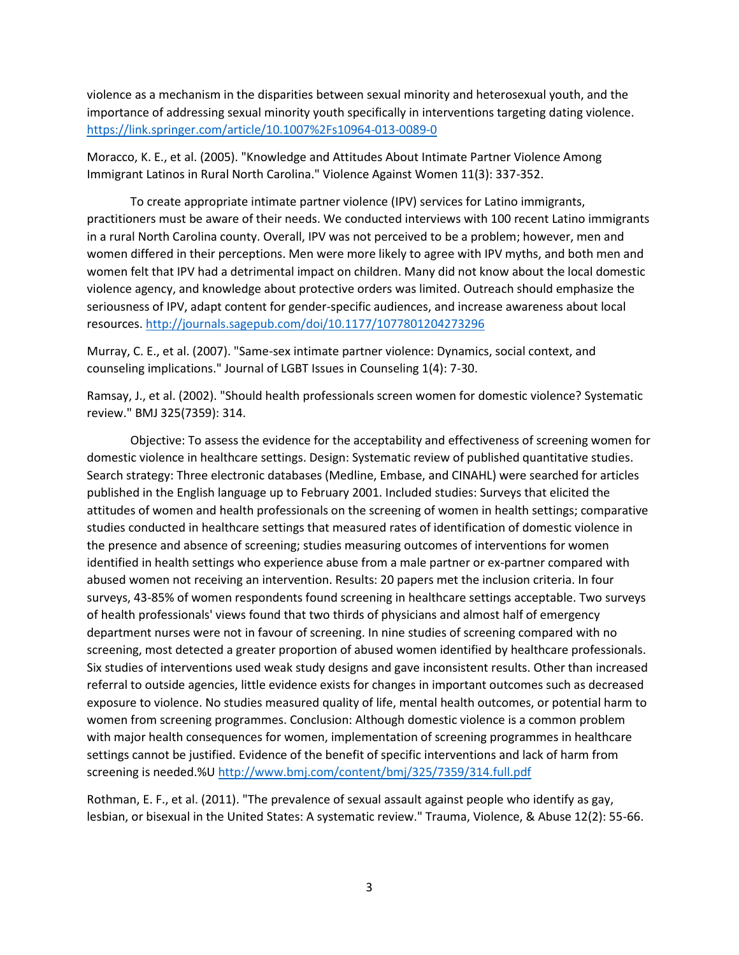violence as a mechanism in the disparities between sexual minority and heterosexual youth, and the importance of addressing sexual minority youth specifically in interventions targeting dating violence. <https://link.springer.com/article/10.1007%2Fs10964-013-0089-0>

Moracco, K. E., et al. (2005). "Knowledge and Attitudes About Intimate Partner Violence Among Immigrant Latinos in Rural North Carolina." Violence Against Women 11(3): 337-352.

To create appropriate intimate partner violence (IPV) services for Latino immigrants, practitioners must be aware of their needs. We conducted interviews with 100 recent Latino immigrants in a rural North Carolina county. Overall, IPV was not perceived to be a problem; however, men and women differed in their perceptions. Men were more likely to agree with IPV myths, and both men and women felt that IPV had a detrimental impact on children. Many did not know about the local domestic violence agency, and knowledge about protective orders was limited. Outreach should emphasize the seriousness of IPV, adapt content for gender-specific audiences, and increase awareness about local resources[. http://journals.sagepub.com/doi/10.1177/1077801204273296](http://journals.sagepub.com/doi/10.1177/1077801204273296)

Murray, C. E., et al. (2007). "Same-sex intimate partner violence: Dynamics, social context, and counseling implications." Journal of LGBT Issues in Counseling 1(4): 7-30.

Ramsay, J., et al. (2002). "Should health professionals screen women for domestic violence? Systematic review." BMJ 325(7359): 314.

Objective: To assess the evidence for the acceptability and effectiveness of screening women for domestic violence in healthcare settings. Design: Systematic review of published quantitative studies. Search strategy: Three electronic databases (Medline, Embase, and CINAHL) were searched for articles published in the English language up to February 2001. Included studies: Surveys that elicited the attitudes of women and health professionals on the screening of women in health settings; comparative studies conducted in healthcare settings that measured rates of identification of domestic violence in the presence and absence of screening; studies measuring outcomes of interventions for women identified in health settings who experience abuse from a male partner or ex-partner compared with abused women not receiving an intervention. Results: 20 papers met the inclusion criteria. In four surveys, 43-85% of women respondents found screening in healthcare settings acceptable. Two surveys of health professionals' views found that two thirds of physicians and almost half of emergency department nurses were not in favour of screening. In nine studies of screening compared with no screening, most detected a greater proportion of abused women identified by healthcare professionals. Six studies of interventions used weak study designs and gave inconsistent results. Other than increased referral to outside agencies, little evidence exists for changes in important outcomes such as decreased exposure to violence. No studies measured quality of life, mental health outcomes, or potential harm to women from screening programmes. Conclusion: Although domestic violence is a common problem with major health consequences for women, implementation of screening programmes in healthcare settings cannot be justified. Evidence of the benefit of specific interventions and lack of harm from screening is needed.%[U http://www.bmj.com/content/bmj/325/7359/314.full.pdf](http://www.bmj.com/content/bmj/325/7359/314.full.pdf)

Rothman, E. F., et al. (2011). "The prevalence of sexual assault against people who identify as gay, lesbian, or bisexual in the United States: A systematic review." Trauma, Violence, & Abuse 12(2): 55-66.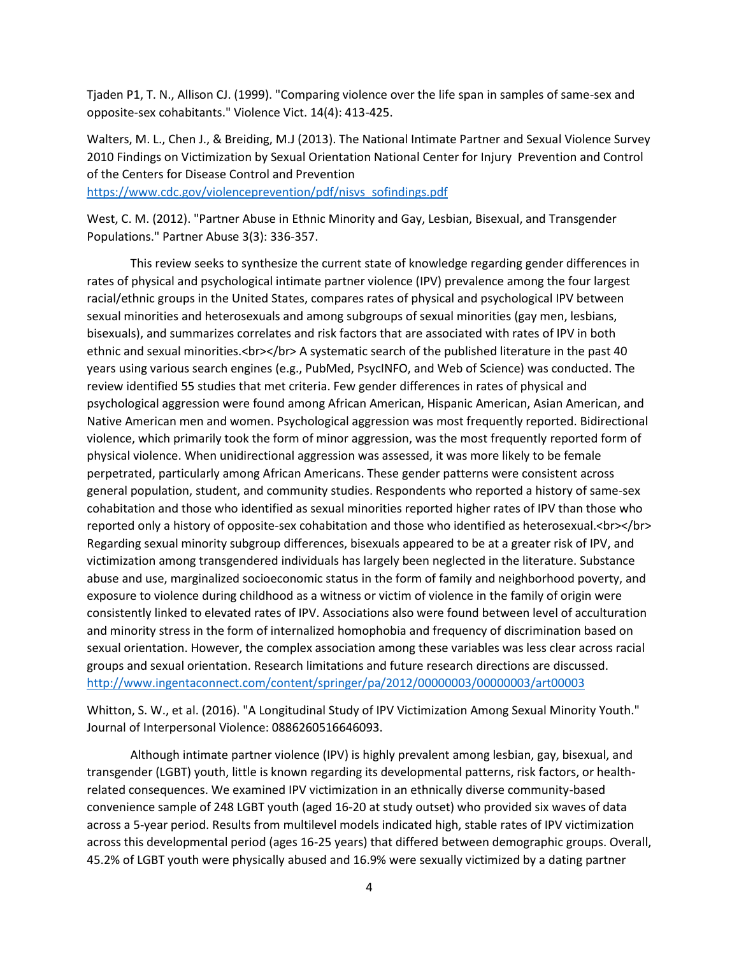Tjaden P1, T. N., Allison CJ. (1999). "Comparing violence over the life span in samples of same-sex and opposite-sex cohabitants." Violence Vict. 14(4): 413-425.

Walters, M. L., Chen J., & Breiding, M.J (2013). The National Intimate Partner and Sexual Violence Survey 2010 Findings on Victimization by Sexual Orientation National Center for Injury Prevention and Control of the Centers for Disease Control and Prevention

[https://www.cdc.gov/violenceprevention/pdf/nisvs\\_sofindings.pdf](https://www.cdc.gov/violenceprevention/pdf/nisvs_sofindings.pdf)

West, C. M. (2012). "Partner Abuse in Ethnic Minority and Gay, Lesbian, Bisexual, and Transgender Populations." Partner Abuse 3(3): 336-357.

This review seeks to synthesize the current state of knowledge regarding gender differences in rates of physical and psychological intimate partner violence (IPV) prevalence among the four largest racial/ethnic groups in the United States, compares rates of physical and psychological IPV between sexual minorities and heterosexuals and among subgroups of sexual minorities (gay men, lesbians, bisexuals), and summarizes correlates and risk factors that are associated with rates of IPV in both ethnic and sexual minorities.<br></br> A systematic search of the published literature in the past 40 years using various search engines (e.g., PubMed, PsycINFO, and Web of Science) was conducted. The review identified 55 studies that met criteria. Few gender differences in rates of physical and psychological aggression were found among African American, Hispanic American, Asian American, and Native American men and women. Psychological aggression was most frequently reported. Bidirectional violence, which primarily took the form of minor aggression, was the most frequently reported form of physical violence. When unidirectional aggression was assessed, it was more likely to be female perpetrated, particularly among African Americans. These gender patterns were consistent across general population, student, and community studies. Respondents who reported a history of same-sex cohabitation and those who identified as sexual minorities reported higher rates of IPV than those who reported only a history of opposite-sex cohabitation and those who identified as heterosexual.<br></br> Regarding sexual minority subgroup differences, bisexuals appeared to be at a greater risk of IPV, and victimization among transgendered individuals has largely been neglected in the literature. Substance abuse and use, marginalized socioeconomic status in the form of family and neighborhood poverty, and exposure to violence during childhood as a witness or victim of violence in the family of origin were consistently linked to elevated rates of IPV. Associations also were found between level of acculturation and minority stress in the form of internalized homophobia and frequency of discrimination based on sexual orientation. However, the complex association among these variables was less clear across racial groups and sexual orientation. Research limitations and future research directions are discussed. <http://www.ingentaconnect.com/content/springer/pa/2012/00000003/00000003/art00003>

Whitton, S. W., et al. (2016). "A Longitudinal Study of IPV Victimization Among Sexual Minority Youth." Journal of Interpersonal Violence: 0886260516646093.

Although intimate partner violence (IPV) is highly prevalent among lesbian, gay, bisexual, and transgender (LGBT) youth, little is known regarding its developmental patterns, risk factors, or healthrelated consequences. We examined IPV victimization in an ethnically diverse community-based convenience sample of 248 LGBT youth (aged 16-20 at study outset) who provided six waves of data across a 5-year period. Results from multilevel models indicated high, stable rates of IPV victimization across this developmental period (ages 16-25 years) that differed between demographic groups. Overall, 45.2% of LGBT youth were physically abused and 16.9% were sexually victimized by a dating partner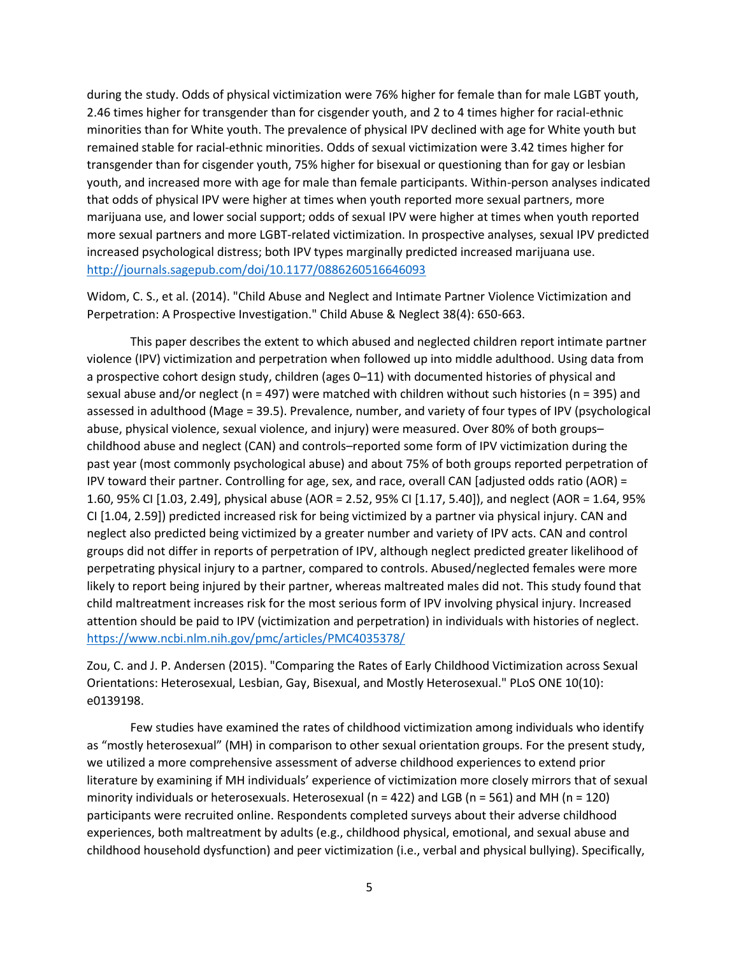during the study. Odds of physical victimization were 76% higher for female than for male LGBT youth, 2.46 times higher for transgender than for cisgender youth, and 2 to 4 times higher for racial-ethnic minorities than for White youth. The prevalence of physical IPV declined with age for White youth but remained stable for racial-ethnic minorities. Odds of sexual victimization were 3.42 times higher for transgender than for cisgender youth, 75% higher for bisexual or questioning than for gay or lesbian youth, and increased more with age for male than female participants. Within-person analyses indicated that odds of physical IPV were higher at times when youth reported more sexual partners, more marijuana use, and lower social support; odds of sexual IPV were higher at times when youth reported more sexual partners and more LGBT-related victimization. In prospective analyses, sexual IPV predicted increased psychological distress; both IPV types marginally predicted increased marijuana use. <http://journals.sagepub.com/doi/10.1177/0886260516646093>

Widom, C. S., et al. (2014). "Child Abuse and Neglect and Intimate Partner Violence Victimization and Perpetration: A Prospective Investigation." Child Abuse & Neglect 38(4): 650-663.

This paper describes the extent to which abused and neglected children report intimate partner violence (IPV) victimization and perpetration when followed up into middle adulthood. Using data from a prospective cohort design study, children (ages 0–11) with documented histories of physical and sexual abuse and/or neglect (n = 497) were matched with children without such histories (n = 395) and assessed in adulthood (Mage = 39.5). Prevalence, number, and variety of four types of IPV (psychological abuse, physical violence, sexual violence, and injury) were measured. Over 80% of both groups– childhood abuse and neglect (CAN) and controls–reported some form of IPV victimization during the past year (most commonly psychological abuse) and about 75% of both groups reported perpetration of IPV toward their partner. Controlling for age, sex, and race, overall CAN [adjusted odds ratio (AOR) = 1.60, 95% CI [1.03, 2.49], physical abuse (AOR = 2.52, 95% CI [1.17, 5.40]), and neglect (AOR = 1.64, 95% CI [1.04, 2.59]) predicted increased risk for being victimized by a partner via physical injury. CAN and neglect also predicted being victimized by a greater number and variety of IPV acts. CAN and control groups did not differ in reports of perpetration of IPV, although neglect predicted greater likelihood of perpetrating physical injury to a partner, compared to controls. Abused/neglected females were more likely to report being injured by their partner, whereas maltreated males did not. This study found that child maltreatment increases risk for the most serious form of IPV involving physical injury. Increased attention should be paid to IPV (victimization and perpetration) in individuals with histories of neglect. <https://www.ncbi.nlm.nih.gov/pmc/articles/PMC4035378/>

Zou, C. and J. P. Andersen (2015). "Comparing the Rates of Early Childhood Victimization across Sexual Orientations: Heterosexual, Lesbian, Gay, Bisexual, and Mostly Heterosexual." PLoS ONE 10(10): e0139198.

Few studies have examined the rates of childhood victimization among individuals who identify as "mostly heterosexual" (MH) in comparison to other sexual orientation groups. For the present study, we utilized a more comprehensive assessment of adverse childhood experiences to extend prior literature by examining if MH individuals' experience of victimization more closely mirrors that of sexual minority individuals or heterosexuals. Heterosexual (n = 422) and LGB (n = 561) and MH (n = 120) participants were recruited online. Respondents completed surveys about their adverse childhood experiences, both maltreatment by adults (e.g., childhood physical, emotional, and sexual abuse and childhood household dysfunction) and peer victimization (i.e., verbal and physical bullying). Specifically,